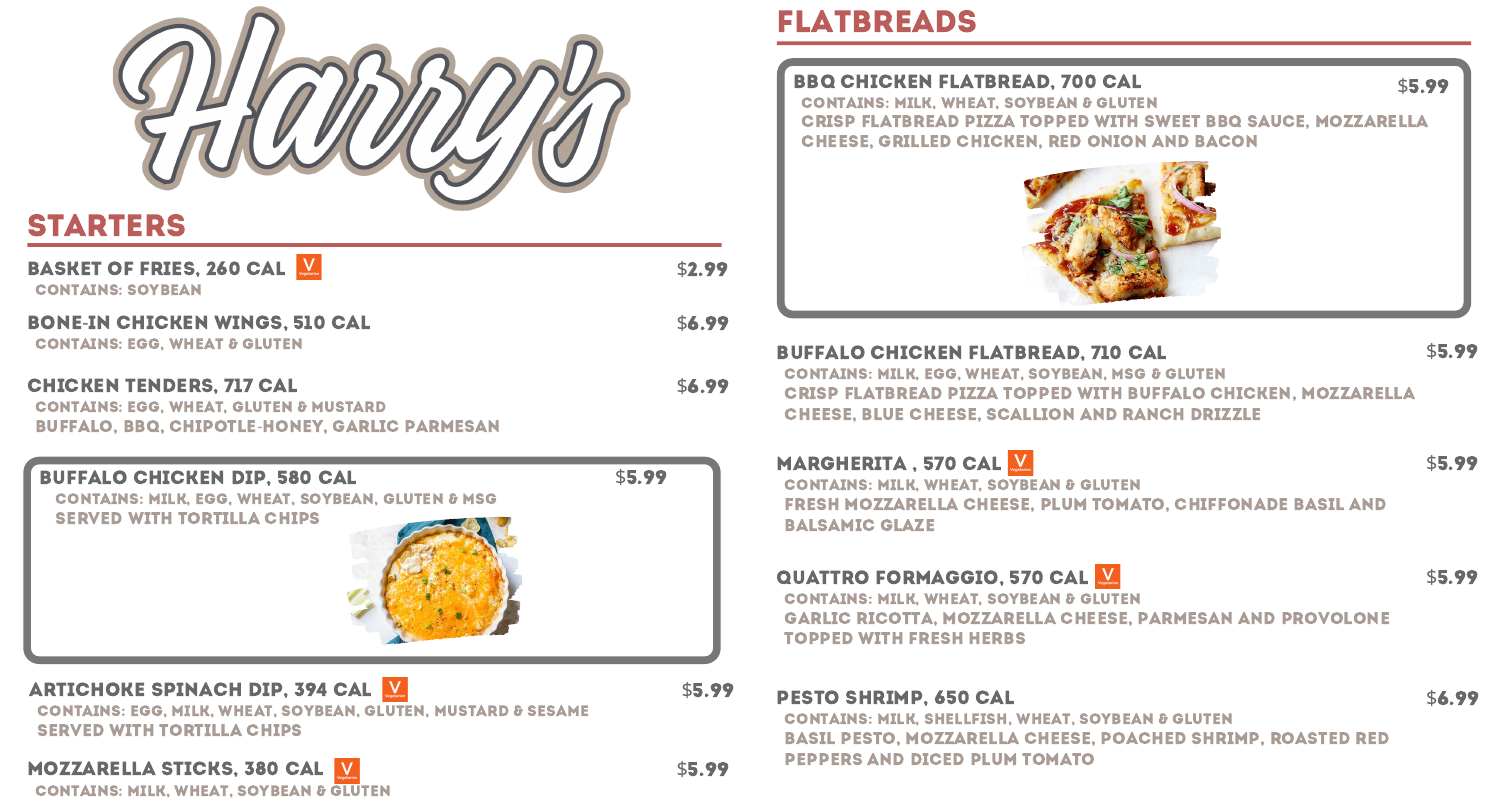

# starters

# **BASKET OF FRIES, 260 CAL WEBERER**

Contains: soybean

### bone-in chicken wings, 510 cal

Contains: egg, wheat & gluten

| \$2.99 |
|--------|
| \$6.99 |
| \$6.99 |

### Chicken Tenders, 717 cal

Contains: egg, milk, wheat, soybean, gluten, mustard & sesame SERVED WITH TORTILLA CHIPS

# MOZZARELLA STICKS, 380 CAL

CONTAINS: MILK, WHEAT, SOYBEAN & GLUTEN

Contains: milk, egg, wheat, soybean, gluten & msg **SERVED WITH TORTILLA CHIPS** 

## ARTICHOKE SPINACH DIP, 394 CAL

\$5.99

Contains: egg, wheat, gluten & mustard Buffalo, BBQ, Chipotle-Honey, Garlic Parmesan

### \$5.99 Crisp Flatbread Pizza Topped with Sweet BBQ Sauce, Mozzarella CHEESE, GRILLED CHICKEN, RED ONION AND BACON



### buffalo chicken dip, 580 cal

MARGHERITA, 570 CAL CONTAINS: MILK, WHEAT, SOY FRESH MOZZARELLA CHEES Balsamic Glaze

QUATTRO FORMAGGIO, 570 CAL

# flatbreads

bbq chicken flatbread, 700 cal Contains: milk, wheat, soybean & gluten

\$5.99

buffalo chicken flatbread, 710 cal Contains: milk, egg, wheat, soybean, Msg & gluten Crisp Flatbread Pizza Topped with Buffalo Chicken, Mozzarella Cheese, Blue Cheese, Scallion and Ranch Drizzle

| $\mathbf V$<br>Vegetarian                    | \$5.99 |
|----------------------------------------------|--------|
| YBEAN & GLUTEN                               |        |
| <b>SE, PLUM TOMATO, CHIFFONADE BASIL AND</b> |        |

\$5.99

Contains: milk, wheat, soybean & gluten Topped with Fresh Herbs



pesto shrimp, 650 cal

\$6.99

Contains: milk, shellfish, wheat, soybean & gluten Basil Pesto, Mozzarella Cheese, Poached Shrimp, Roasted Red Peppers and Diced Plum Tomato